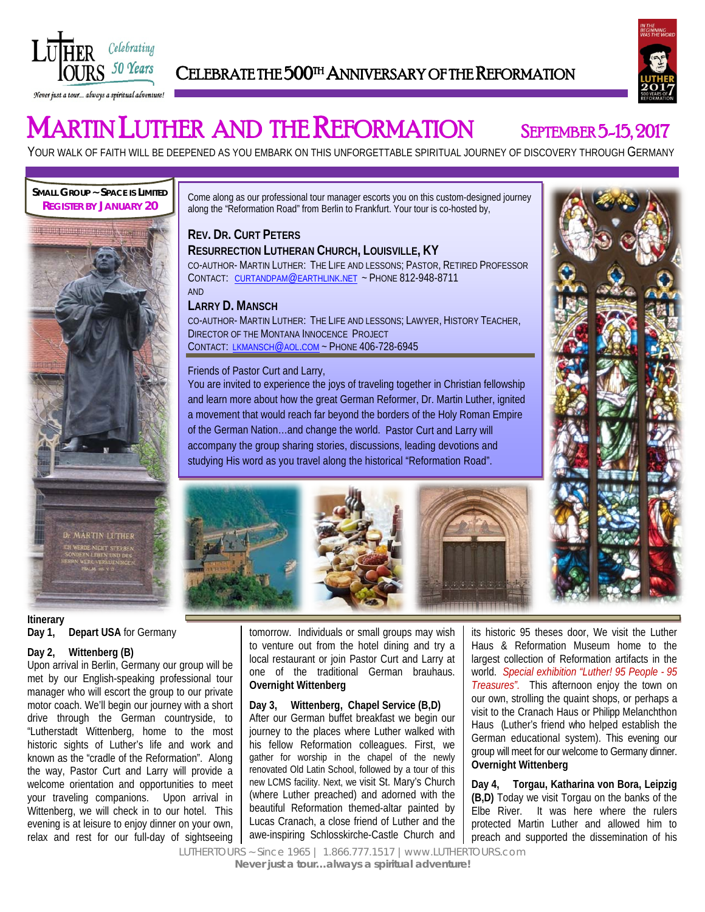

# CELEBRATE THE 500<sup>TH</sup> ANNIVERSARY OF THE REFORMATION



# **MARTIN LUTHER AND THE REFORMATION** SEPTEMBER 5-15, 2017

YOUR WALK OF FAITH WILL BE DEEPENED AS YOU EMBARK ON THIS UNFORGETTABLE SPIRITUAL JOURNEY OF DISCOVERY THROUGH GERMANY

**SMALL GROUP ~ SPACE IS LIMITED REGISTER BY JANUARY 20**



Come along as our professional tour manager escorts you on this custom-designed journey along the "Reformation Road" from Berlin to Frankfurt. Your tour is co-hosted by,

## **REV. DR. CURT PETERS**

**RESURRECTION LUTHERAN CHURCH, LOUISVILLE, KY** CO-AUTHOR- MARTIN LUTHER: THE LIFE AND LESSONS; PASTOR, RETIRED PROFESSOR CONTACT: [CURTANDPAM@EARTHLINK.NET](mailto:curtandpam@earthlink.net) ~ PHONE 812-948-8711 AND

#### **LARRY D. MANSCH**

CO-AUTHOR- MARTIN LUTHER: THE LIFE AND LESSONS; LAWYER, HISTORY TEACHER, DIRECTOR OF THE MONTANA INNOCENCE PROJECT CONTACT: [LKMANSCH@AOL.COM](mailto:lkmansch@aol.com) ~ PHONE 406-728-6945

#### Friends of Pastor Curt and Larry,

You are invited to experience the joys of traveling together in Christian fellowship and learn more about how the great German Reformer, Dr. Martin Luther, ignited a movement that would reach far beyond the borders of the Holy Roman Empire of the German Nation…and change the world. Pastor Curt and Larry will accompany the group sharing stories, discussions, leading devotions and studying His word as you travel along the historical "Reformation Road".



### **Itinerary Day 1, Depart USA** for Germany

#### **Day 2, Wittenberg (B)**

Upon arrival in Berlin, Germany our group will be met by our English-speaking professional tour manager who will escort the group to our private motor coach. We'll begin our journey with a short drive through the German countryside, to "Lutherstadt Wittenberg, home to the most historic sights of Luther's life and work and known as the "cradle of the Reformation". Along the way, Pastor Curt and Larry will provide a welcome orientation and opportunities to meet your traveling companions. Upon arrival in Wittenberg, we will check in to our hotel. This evening is at leisure to enjoy dinner on your own, relax and rest for our full-day of sightseeing tomorrow. Individuals or small groups may wish to venture out from the hotel dining and try a  local restaurant or join Pastor Curt and Larry at one of the traditional German brauhaus. **Overnight Wittenberg**

#### **Day 3, Wittenberg, Chapel Service (B,D)**

After our German buffet breakfast we begin our journey to the places where Luther walked with his fellow Reformation colleagues. First, we gather for worship in the chapel of the newly renovated Old Latin School, followed by a tour of this new LCMS facility. Next, we visit St. Mary's Church (where Luther preached) and adorned with the beautiful Reformation themed-altar painted by Lucas Cranach, a close friend of Luther and the awe-inspiring Schlosskirche-Castle Church and

its historic 95 theses door, We visit the Luther Haus & Reformation Museum home to the largest collection of Reformation artifacts in the world. *Special exhibition "Luther! 95 People - 95 Treasures".* This afternoon enjoy the town on our own, strolling the quaint shops, or perhaps a visit to the Cranach Haus or Philipp Melanchthon Haus (Luther's friend who helped establish the German educational system). This evening our group will meet for our welcome to Germany dinner. **Overnight Wittenberg**

**Day 4, Torgau, Katharina von Bora, Leipzig (B,D)** Today we visit Torgau on the banks of the Elbe River. It was here where the rulers protected Martin Luther and allowed him to preach and supported the dissemination of his

LUTHERTOURS ~ Since 1965 | 1.866.777.1517 |www.LUTHERTOURS.com *Never just a tour…always a spiritual adventure!*